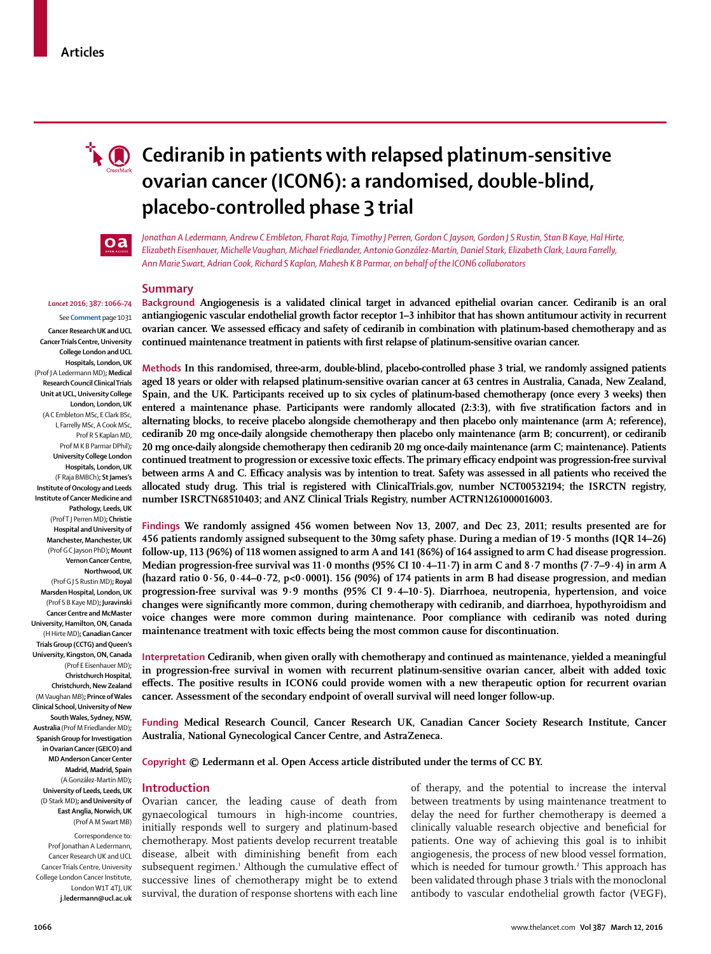

# **Cediranib in patients with relapsed platinum-sensitive ovarian cancer (ICON6): a randomised, double-blind, placebo-controlled phase 3 trial**



*Jonathan A Ledermann, Andrew C Embleton, Fharat Raja, Timothy J Perren, Gordon C Jayson, Gordon J S Rustin, Stan B Kaye, Hal Hirte, Elizabeth Eisenhauer, Michelle Vaughan, Michael Friedlander, Antonio González-Martín, Daniel Stark, Elizabeth Clark, Laura Farrelly, Ann Marie Swart, Adrian Cook, Richard S Kaplan, Mahesh K B Parmar, on behalf of the ICON6 collaborators*

#### **Summary** *Lancet* **2016; 387: 1066–74**

See **Comment** page 1031 **Cancer Research UK and UCL Cancer Trials Centre, University College London and UCL Hospitals, London, UK**  (Prof J A Ledermann MD)**; Medical Research Council Clinical Trials Unit at UCL, University College London, London, UK**  (A C Embleton MSc, E Clark BSc, L Farrelly MSc, A Cook MSc, Prof R S Kaplan MD, Prof M K B Parmar DPhil)**; University College London Hospitals, London, UK**  (F Raja BMBCh)**; St James's Institute of Oncology and Leeds Institute of Cancer Medicine and Pathology, Leeds, UK**  (Prof T J Perren MD)**; Christie Hospital and University of Manchester, Manchester, UK**  (Prof G C Jayson PhD)**; Mount Vernon Cancer Centre, Northwood, UK**  (Prof G J S Rustin MD)**; Royal Marsden Hospital, London, UK**  (Prof S B Kaye MD)**; Juravinski Cancer Centre and McMaster University, Hamilton, ON, Canada**  (H Hirte MD)**; Canadian Cancer Trials Group (CCTG) and Queen's University, Kingston, ON, Canada**  (Prof E Eisenhauer MD)**; Christchurch Hospital, Christchurch, New Zealand**  (M Vaughan MB)**; Prince of Wales Clinical School, University of New South Wales, Sydney, NSW, Australia** (Prof M Friedlander MD)**; Spanish Group for Investigation in Ovarian Cancer (GEICO) and MD Anderson Cancer Center Madrid, Madrid, Spain**  (A González-Martín MD)**; University of Leeds, Leeds, UK**  (D Stark MD)**; and University of** 

> **East Anglia, Norwich, UK**  (Prof A M Swart MB)

Correspondence to: Prof Jonathan A Ledermann, Cancer Research UK and UCL Cancer Trials Centre, University College London Cancer Institute, London W1T 4TJ, UK **j.ledermann@ucl.ac.uk** **Background Angiogenesis is a validated clinical target in advanced epithelial ovarian cancer. Cediranib is an oral antiangiogenic vascular endothelial growth factor receptor 1–3 inhibitor that has shown antitumour activity in recurrent ovarian cancer. We assessed efficacy and safety of cediranib in combination with platinum-based chemotherapy and as continued maintenance treatment in patients with first relapse of platinum-sensitive ovarian cancer.** 

**Methods In this randomised, three-arm, double-blind, placebo-controlled phase 3 trial, we randomly assigned patients aged 18 years or older with relapsed platinum-sensitive ovarian cancer at 63 centres in Australia, Canada, New Zealand, Spain, and the UK. Participants received up to six cycles of platinum-based chemotherapy (once every 3 weeks) then**  entered a maintenance phase. Participants were randomly allocated (2:3:3), with five stratification factors and in **alternating blocks, to receive placebo alongside chemotherapy and then placebo only maintenance (arm A; reference), cediranib 20 mg once-daily alongside chemotherapy then placebo only maintenance (arm B; concurrent), or cediranib 20 mg once-daily alongside chemotherapy then cediranib 20 mg once-daily maintenance (arm C; maintenance). Patients**  continued treatment to progression or excessive toxic effects. The primary efficacy endpoint was progression-free survival between arms A and C. Efficacy analysis was by intention to treat. Safety was assessed in all patients who received the **allocated study drug. This trial is registered with ClinicalTrials.gov, number NCT00532194; the ISRCTN registry, number ISRCTN68510403; and ANZ Clinical Trials Registry, number ACTRN1261000016003.**

**Findings We randomly assigned 456 women between Nov 13, 2007, and Dec 23, 2011; results presented are for 456 patients randomly assigned subsequent to the 30mg safety phase. During a median of 19·5 months (IQR 14–26) follow-up, 113 (96%) of 118 women assigned to arm A and 141 (86%) of 164 assigned to arm C had disease progression. Median progression-free survival was 11·0 months (95% CI 10·4–11·7) in arm C and 8·7 months (7·7–9·4) in arm A (hazard ratio 0·56, 0·44–0·72, p<0·0001). 156 (90%) of 174 patients in arm B had disease progression, and median progression-free survival was 9·9 months (95% CI 9·4–10·5). Diarrhoea, neutropenia, hypertension, and voice**  changes were significantly more common, during chemotherapy with cediranib, and diarrhoea, hypothyroidism and **voice changes were more common during maintenance. Poor compliance with cediranib was noted during**  maintenance treatment with toxic effects being the most common cause for discontinuation.

**Interpretation Cediranib, when given orally with chemotherapy and continued as maintenance, yielded a meaningful in progression-free survival in women with recurrent platinum-sensitive ovarian cancer, albeit with added toxic**  effects. The positive results in ICON6 could provide women with a new therapeutic option for recurrent ovarian **cancer. Assessment of the secondary endpoint of overall survival will need longer follow-up.**

**Funding Medical Research Council, Cancer Research UK, Canadian Cancer Society Research Institute, Cancer Australia, National Gynecological Cancer Centre, and AstraZeneca.**

**Copyright © Ledermann et al. Open Access article distributed under the terms of CC BY.**

# **Introduction**

Ovarian cancer, the leading cause of death from gynaecological tumours in high-income countries, initially responds well to surgery and platinum-based chemotherapy. Most patients develop recurrent treatable disease, albeit with diminishing benefit from each subsequent regimen.<sup>1</sup> Although the cumulative effect of successive lines of chemotherapy might be to extend survival, the duration of response shortens with each line

of therapy, and the potential to increase the interval between treatments by using maintenance treatment to delay the need for further chemotherapy is deemed a clinically valuable research objective and beneficial for patients. One way of achieving this goal is to inhibit angiogenesis, the process of new blood vessel formation, which is needed for tumour growth.<sup>2</sup> This approach has been validated through phase 3 trials with the monoclonal antibody to vascular endothelial growth factor (VEGF),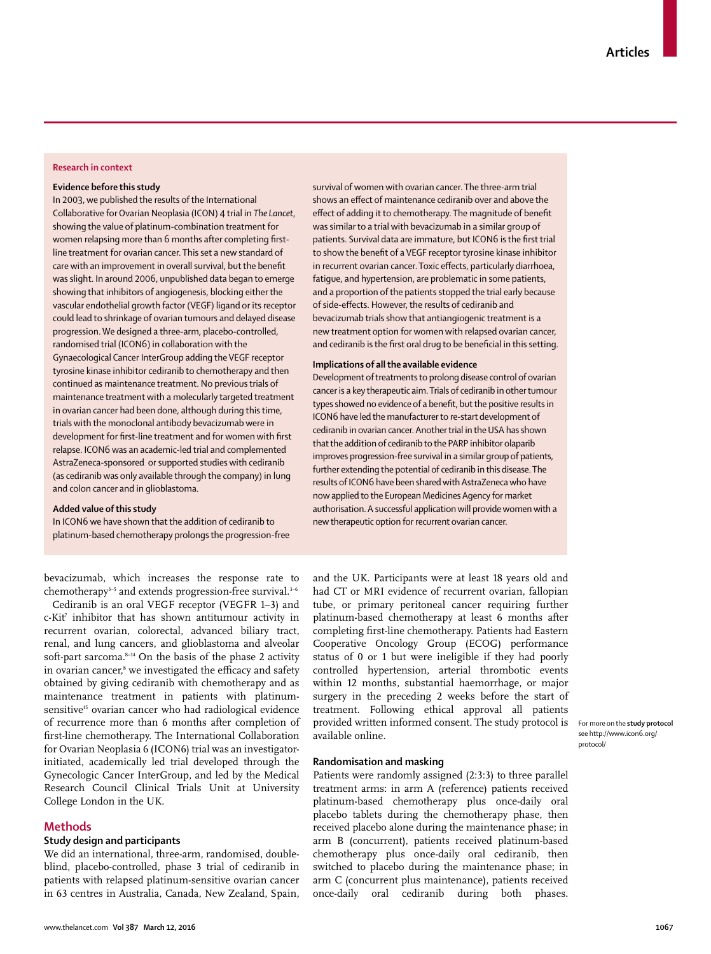# **Research in context**

# **Evidence before this study**

In 2003, we published the results of the International Collaborative for Ovarian Neoplasia (ICON) 4 trial in *The Lancet*, showing the value of platinum-combination treatment for women relapsing more than 6 months after completing firstline treatment for ovarian cancer. This set a new standard of care with an improvement in overall survival, but the benefit was slight. In around 2006, unpublished data began to emerge showing that inhibitors of angiogenesis, blocking either the vascular endothelial growth factor (VEGF) ligand or its receptor could lead to shrinkage of ovarian tumours and delayed disease progression. We designed a three-arm, placebo-controlled, randomised trial (ICON6) in collaboration with the Gynaecological Cancer InterGroup adding the VEGF receptor tyrosine kinase inhibitor cediranib to chemotherapy and then continued as maintenance treatment. No previous trials of maintenance treatment with a molecularly targeted treatment in ovarian cancer had been done, although during this time, trials with the monoclonal antibody bevacizumab were in development for first-line treatment and for women with first relapse. ICON6 was an academic-led trial and complemented AstraZeneca-sponsored or supported studies with cediranib (as cediranib was only available through the company) in lung and colon cancer and in glioblastoma.

## **Added value of this study**

In ICON6 we have shown that the addition of cediranib to platinum-based chemotherapy prolongs the progression-free survival of women with ovarian cancer. The three-arm trial shows an effect of maintenance cediranib over and above the effect of adding it to chemotherapy. The magnitude of benefit was similar to a trial with bevacizumab in a similar group of patients. Survival data are immature, but ICON6 is the first trial to show the benefit of a VEGF receptor tyrosine kinase inhibitor in recurrent ovarian cancer. Toxic effects, particularly diarrhoea, fatigue, and hypertension, are problematic in some patients, and a proportion of the patients stopped the trial early because of side-effects. However, the results of cediranib and bevacizumab trials show that antiangiogenic treatment is a new treatment option for women with relapsed ovarian cancer, and cediranib is the first oral drug to be beneficial in this setting.

## **Implications of all the available evidence**

Development of treatments to prolong disease control of ovarian cancer is a key therapeutic aim. Trials of cediranib in other tumour types showed no evidence of a benefit, but the positive results in ICON6 have led the manufacturer to re-start development of cediranib in ovarian cancer. Another trial in the USA has shown that the addition of cediranib to the PARP inhibitor olaparib improves progression-free survival in a similar group of patients, further extending the potential of cediranib in this disease. The results of ICON6 have been shared with AstraZeneca who have now applied to the European Medicines Agency for market authorisation. A successful application will provide women with a new therapeutic option for recurrent ovarian cancer.

bevacizumab, which increases the response rate to chemotherapy<sup>3-5</sup> and extends progression-free survival.<sup>3-6</sup>

Cediranib is an oral VEGF receptor (VEGFR 1–3) and c-Kit7 inhibitor that has shown antitumour activity in recurrent ovarian, colorectal, advanced biliary tract, renal, and lung cancers, and glioblastoma and alveolar soft-part sarcoma.<sup>8-14</sup> On the basis of the phase 2 activity in ovarian cancer,<sup>8</sup> we investigated the efficacy and safety obtained by giving cediranib with chemotherapy and as maintenance treatment in patients with platinumsensitive<sup>15</sup> ovarian cancer who had radiological evidence of recurrence more than 6 months after completion of first-line chemotherapy. The International Collaboration for Ovarian Neoplasia 6 (ICON6) trial was an investigatorinitiated, academically led trial developed through the Gynecologic Cancer InterGroup, and led by the Medical Research Council Clinical Trials Unit at University College London in the UK.

# **Methods**

# **Study design and participants**

We did an international, three-arm, randomised, doubleblind, placebo-controlled, phase 3 trial of cediranib in patients with relapsed platinum-sensitive ovarian cancer in 63 centres in Australia, Canada, New Zealand, Spain, and the UK. Participants were at least 18 years old and had CT or MRI evidence of recurrent ovarian, fallopian tube, or primary peritoneal cancer requiring further platinum-based chemotherapy at least 6 months after completing first-line chemotherapy. Patients had Eastern Cooperative Oncology Group (ECOG) performance status of 0 or 1 but were ineligible if they had poorly controlled hypertension, arterial thrombotic events within 12 months, substantial haemorrhage, or major surgery in the preceding 2 weeks before the start of treatment. Following ethical approval all patients provided written informed consent. The study protocol is available online.

For more on the **study protocol**  see http://www.icon6.org/ protocol/

# **Randomisation and masking**

Patients were randomly assigned (2:3:3) to three parallel treatment arms: in arm A (reference) patients received platinum-based chemotherapy plus once-daily oral placebo tablets during the chemotherapy phase, then received placebo alone during the maintenance phase; in arm B (concurrent), patients received platinum-based chemotherapy plus once-daily oral cediranib, then switched to placebo during the maintenance phase; in arm C (concurrent plus maintenance), patients received once-daily oral cediranib during both phases.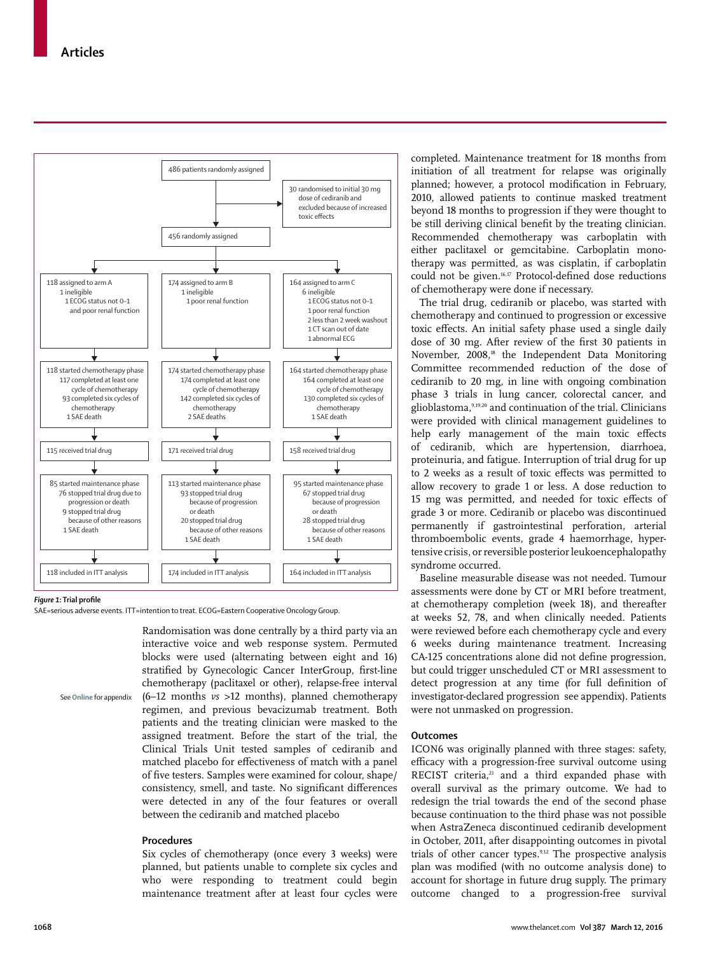

#### **Figure 1: Trial profile**

See **Online** for appendix

SAE=serious adverse events. ITT=intention to treat. ECOG=Eastern Cooperative Oncology Group.

Randomisation was done centrally by a third party via an interactive voice and web response system. Permuted blocks were used (alternating between eight and 16) stratified by Gynecologic Cancer InterGroup, first-line chemotherapy (paclitaxel or other), relapse-free interval (6–12 months *vs* >12 months), planned chemotherapy regimen, and previous bevacizumab treatment. Both patients and the treating clinician were masked to the assigned treatment. Before the start of the trial, the Clinical Trials Unit tested samples of cediranib and matched placebo for effectiveness of match with a panel of five testers. Samples were examined for colour, shape/ consistency, smell, and taste. No significant differences were detected in any of the four features or overall between the cediranib and matched placebo

# **Procedures**

Six cycles of chemotherapy (once every 3 weeks) were planned, but patients unable to complete six cycles and who were responding to treatment could begin maintenance treatment after at least four cycles were completed. Maintenance treatment for 18 months from initiation of all treatment for relapse was originally planned; however, a protocol modification in February, 2010, allowed patients to continue masked treatment beyond 18 months to progression if they were thought to be still deriving clinical benefit by the treating clinician. Recommended chemotherapy was carboplatin with either paclitaxel or gemcitabine. Carboplatin monotherapy was permitted, as was cisplatin, if carboplatin could not be given.<sup>16,17</sup> Protocol-defined dose reductions of chemotherapy were done if necessary.

The trial drug, cediranib or placebo, was started with chemotherapy and continued to progression or excessive toxic effects. An initial safety phase used a single daily dose of 30 mg. After review of the first 30 patients in November, 2008,<sup>18</sup> the Independent Data Monitoring Committee recommended reduction of the dose of cediranib to 20 mg, in line with ongoing combination phase 3 trials in lung cancer, colorectal cancer, and glioblastoma,<sup>9,19,20</sup> and continuation of the trial. Clinicians were provided with clinical management guidelines to help early management of the main toxic effects of cediranib, which are hypertension, diarrhoea, proteinuria, and fatigue. Interruption of trial drug for up to 2 weeks as a result of toxic effects was permitted to allow recovery to grade 1 or less. A dose reduction to 15 mg was permitted, and needed for toxic effects of grade 3 or more. Cediranib or placebo was discontinued permanently if gastrointestinal perforation, arterial thromboembolic events, grade 4 haemorrhage, hypertensive crisis, or reversible posterior leukoencephalopathy syndrome occurred.

Baseline measurable disease was not needed. Tumour assessments were done by CT or MRI before treatment, at chemotherapy completion (week 18), and thereafter at weeks 52, 78, and when clinically needed. Patients were reviewed before each chemotherapy cycle and every 6 weeks during maintenance treatment. Increasing CA-125 concentrations alone did not define progression, but could trigger unscheduled CT or MRI assessment to detect progression at any time (for full definition of investigator-declared progression see appendix). Patients were not unmasked on progression.

## **Outcomes**

ICON6 was originally planned with three stages: safety, efficacy with a progression-free survival outcome using RECIST criteria,<sup>21</sup> and a third expanded phase with overall survival as the primary outcome. We had to redesign the trial towards the end of the second phase because continuation to the third phase was not possible when AstraZeneca discontinued cediranib development in October, 2011, after disappointing outcomes in pivotal trials of other cancer types.9,12 The prospective analysis plan was modified (with no outcome analysis done) to account for shortage in future drug supply. The primary outcome changed to a progression-free survival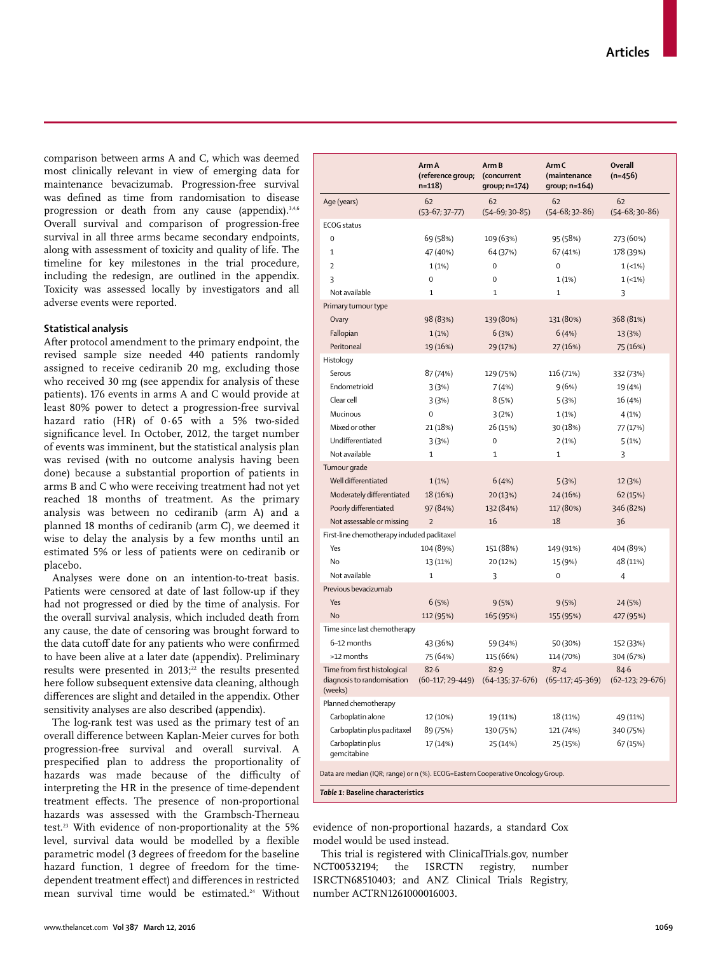comparison between arms A and C, which was deemed most clinically relevant in view of emerging data for maintenance bevacizumab. Progression-free survival was defined as time from randomisation to disease progression or death from any cause (appendix).<sup>3,4,6</sup> Overall survival and comparison of progression-free survival in all three arms became secondary endpoints, along with assessment of toxicity and quality of life. The timeline for key milestones in the trial procedure, including the redesign, are outlined in the appendix. Toxicity was assessed locally by investigators and all adverse events were reported.

# **Statistical analysis**

After protocol amendment to the primary endpoint, the revised sample size needed 440 patients randomly assigned to receive cediranib 20 mg, excluding those who received 30 mg (see appendix for analysis of these patients). 176 events in arms A and C would provide at least 80% power to detect a progression-free survival hazard ratio (HR) of 0·65 with a 5% two-sided significance level. In October, 2012, the target number of events was imminent, but the statistical analysis plan was revised (with no outcome analysis having been done) because a substantial proportion of patients in arms B and C who were receiving treatment had not yet reached 18 months of treatment. As the primary analysis was between no cediranib (arm A) and a planned 18 months of cediranib (arm C), we deemed it wise to delay the analysis by a few months until an estimated 5% or less of patients were on cediranib or placebo.

Analyses were done on an intention-to-treat basis. Patients were censored at date of last follow-up if they had not progressed or died by the time of analysis. For the overall survival analysis, which included death from any cause, the date of censoring was brought forward to the data cutoff date for any patients who were confirmed to have been alive at a later date (appendix). Preliminary results were presented in 2013;<sup>22</sup> the results presented here follow subsequent extensive data cleaning, although differences are slight and detailed in the appendix. Other sensitivity analyses are also described (appendix).

The log-rank test was used as the primary test of an overall difference between Kaplan-Meier curves for both progression-free survival and overall survival. A prespecified plan to address the proportionality of hazards was made because of the difficulty of interpreting the HR in the presence of time-dependent treatment effects. The presence of non-proportional hazards was assessed with the Grambsch-Therneau test.<sup>23</sup> With evidence of non-proportionality at the 5% level, survival data would be modelled by a flexible parametric model (3 degrees of freedom for the baseline hazard function, 1 degree of freedom for the timedependent treatment effect) and differences in restricted mean survival time would be estimated.24 Without

|                                                                                 | Arm A<br>(reference group;<br>n=118) | Arm B<br>(concurrent<br>group; n=174) | Arm C<br>(maintenance<br>group; n=164) | Overall<br>$(n=456)$             |  |  |
|---------------------------------------------------------------------------------|--------------------------------------|---------------------------------------|----------------------------------------|----------------------------------|--|--|
| Age (years)                                                                     | 62<br>$(53-67; 37-77)$               | 62<br>$(54-69; 30-85)$                | 62<br>$(54-68; 32-86)$                 | 62<br>$(54 - 68; 30 - 86)$       |  |  |
| <b>ECOG</b> status                                                              |                                      |                                       |                                        |                                  |  |  |
| 0                                                                               | 69 (58%)                             | 109 (63%)                             | 95 (58%)                               | 273 (60%)                        |  |  |
| 1                                                                               | 47 (40%)                             | 64 (37%)                              | 67 (41%)                               | 178 (39%)                        |  |  |
| $\overline{2}$                                                                  | 1(1%)                                | 0                                     | 0                                      | $1(-1%)$                         |  |  |
| 3                                                                               | $\mathbf 0$                          | 0                                     | 1(1%)                                  | $1(-1%)$                         |  |  |
| Not available                                                                   | $\mathbf{1}$                         | $\mathbf{1}$                          | 1                                      | 3                                |  |  |
| Primary tumour type                                                             |                                      |                                       |                                        |                                  |  |  |
| Ovary                                                                           | 98 (83%)                             | 139 (80%)                             | 131 (80%)                              | 368 (81%)                        |  |  |
| Fallopian                                                                       | 1(1%)                                | 6(3%)                                 | 6(4%)                                  | 13 (3%)                          |  |  |
| Peritoneal                                                                      | 19 (16%)                             | 29 (17%)                              | 27 (16%)                               | 75 (16%)                         |  |  |
| Histology                                                                       |                                      |                                       |                                        |                                  |  |  |
| Serous                                                                          | 87 (74%)                             | 129 (75%)                             | 116 (71%)                              | 332 (73%)                        |  |  |
| Endometrioid                                                                    | 3(3%)                                | 7(4%)                                 | 9(6%)                                  | 19 (4%)                          |  |  |
| Clear cell                                                                      | 3(3%)                                | 8(5%)                                 | 5(3%)                                  | 16 (4%)                          |  |  |
| Mucinous                                                                        | $\mathbf 0$                          | 3(2%)                                 | 1(1%)                                  | 4 (1%)                           |  |  |
| Mixed or other                                                                  | 21 (18%)                             | 26 (15%)                              | 30 (18%)                               | 77 (17%)                         |  |  |
| Undifferentiated                                                                | 3(3%)                                | 0                                     | 2(1%)                                  | 5(1%)                            |  |  |
| Not available                                                                   | 1                                    | $\mathbf{1}$                          | $\mathbf{1}$                           | 3                                |  |  |
| Tumour grade                                                                    |                                      |                                       |                                        |                                  |  |  |
| Well differentiated                                                             | 1(1%)                                | 6(4%)                                 | 5(3%)                                  | 12 (3%)                          |  |  |
| Moderately differentiated                                                       | 18 (16%)                             | 20 (13%)                              | 24 (16%)                               | 62 (15%)                         |  |  |
| Poorly differentiated                                                           | 97 (84%)                             | 132 (84%)                             | 117 (80%)                              | 346 (82%)                        |  |  |
| Not assessable or missing                                                       | $\overline{2}$                       | 16                                    | 18                                     | 36                               |  |  |
| First-line chemotherapy included paclitaxel                                     |                                      |                                       |                                        |                                  |  |  |
| Yes                                                                             | 104 (89%)                            | 151 (88%)                             | 149 (91%)                              | 404 (89%)                        |  |  |
| No                                                                              | 13 (11%)                             | 20 (12%)                              | 15 (9%)                                | 48 (11%)                         |  |  |
| Not available                                                                   | $\mathbf 1$                          | 3                                     | 0                                      | 4                                |  |  |
| Previous bevacizumab                                                            |                                      |                                       |                                        |                                  |  |  |
| Yes                                                                             | 6(5%)                                | 9(5%)                                 | 9(5%)                                  | 24 (5%)                          |  |  |
| No                                                                              | 112 (95%)                            | 165 (95%)                             | 155 (95%)                              | 427 (95%)                        |  |  |
| Time since last chemotherapy                                                    |                                      |                                       |                                        |                                  |  |  |
| 6-12 months                                                                     | 43 (36%)                             | 59 (34%)                              | 50 (30%)                               | 152 (33%)                        |  |  |
| >12 months                                                                      | 75 (64%)                             | 115 (66%)                             | 114 (70%)                              | 304 (67%)                        |  |  |
| Time from first histological<br>diagnosis to randomisation<br>(weeks)           | $82 - 6$<br>$(60-117; 29-449)$       | 82.9<br>$(64-135; 37-676)$            | 87.4<br>$(65-117; 45-369)$             | $84-6$<br>$(62 - 123; 29 - 676)$ |  |  |
| Planned chemotherapy                                                            |                                      |                                       |                                        |                                  |  |  |
| Carboplatin alone                                                               | 12 (10%)                             | 19 (11%)                              | 18 (11%)                               | 49 (11%)                         |  |  |
| Carboplatin plus paclitaxel                                                     | 89 (75%)                             | 130 (75%)                             | 121 (74%)                              | 340 (75%)                        |  |  |
| Carboplatin plus<br>gemcitabine                                                 | 17 (14%)                             | 25 (14%)                              | 25 (15%)                               | 67 (15%)                         |  |  |
| Data are median (IQR; range) or n (%). ECOG=Eastern Cooperative Oncology Group. |                                      |                                       |                                        |                                  |  |  |
| Table 1: Baseline characteristics                                               |                                      |                                       |                                        |                                  |  |  |

evidence of non-proportional hazards, a standard Cox model would be used instead.

This trial is registered with ClinicalTrials.gov, number<br>CT00532194; the ISRCTN registry, number NCT00532194; the ISRCTN registry, number ISRCTN68510403; and ANZ Clinical Trials Registry, number ACTRN1261000016003.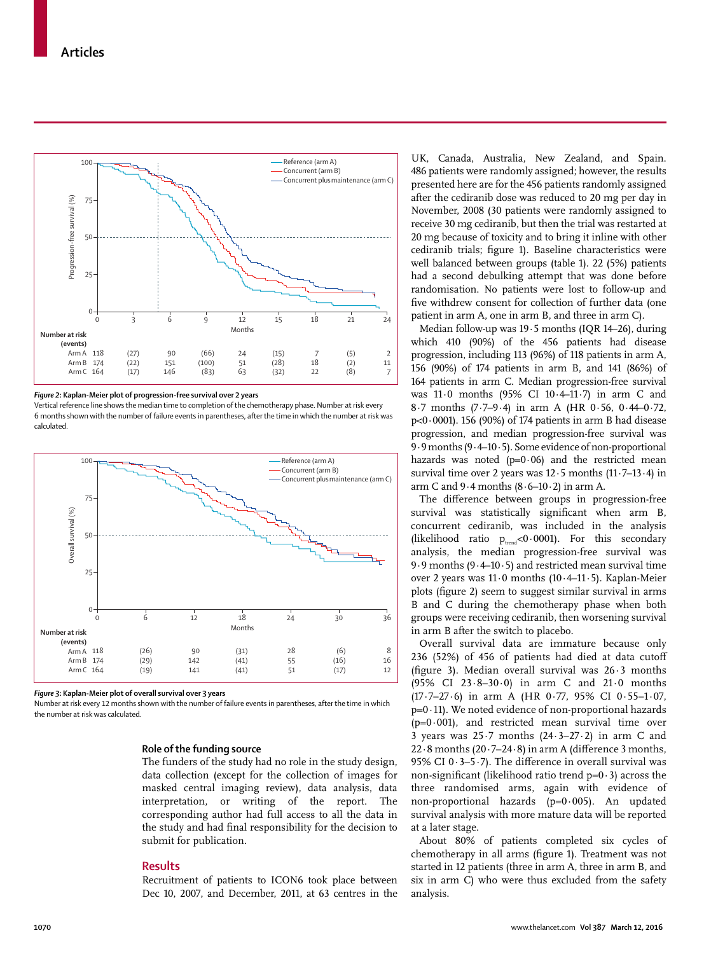

#### *Figure 2***: Kaplan-Meier plot of progression-free survival over 2 years**

Vertical reference line shows the median time to completion of the chemotherapy phase. Number at risk every 6 months shown with the number of failure events in parentheses, after the time in which the number at risk was calculated.



*Figure 3***: Kaplan-Meier plot of overall survival over 3 years**

Number at risk every 12 months shown with the number of failure events in parentheses, after the time in which the number at risk was calculated.

## **Role of the funding source**

The funders of the study had no role in the study design, data collection (except for the collection of images for masked central imaging review), data analysis, data interpretation, or writing of the report. The corresponding author had full access to all the data in the study and had final responsibility for the decision to submit for publication.

# **Results**

Recruitment of patients to ICON6 took place between Dec 10, 2007, and December, 2011, at 63 centres in the

UK, Canada, Australia, New Zealand, and Spain. 486 patients were randomly assigned; however, the results presented here are for the 456 patients randomly assigned after the cediranib dose was reduced to 20 mg per day in November, 2008 (30 patients were randomly assigned to receive 30 mg cediranib, but then the trial was restarted at 20 mg because of toxicity and to bring it inline with other cediranib trials; figure 1). Baseline characteristics were well balanced between groups (table 1). 22 (5%) patients had a second debulking attempt that was done before randomisation. No patients were lost to follow-up and five withdrew consent for collection of further data (one patient in arm A, one in arm B, and three in arm C).

Median follow-up was 19·5 months (IQR 14–26), during which 410 (90%) of the 456 patients had disease progression, including 113 (96%) of 118 patients in arm A, 156 (90%) of 174 patients in arm B, and 141 (86%) of 164 patients in arm C. Median progression-free survival was 11·0 months (95% CI 10·4–11·7) in arm C and 8·7 months (7·7–9·4) in arm A (HR 0·56, 0·44–0·72, p<0·0001). 156 (90%) of 174 patients in arm B had disease progression, and median progression-free survival was 9·9 months (9·4–10·5). Some evidence of non-proportional hazards was noted ( $p=0.06$ ) and the restricted mean survival time over 2 years was  $12 \cdot 5$  months  $(11 \cdot 7 - 13 \cdot 4)$  in arm C and  $9.4$  months  $(8.6-10.2)$  in arm A.

The difference between groups in progression-free survival was statistically significant when arm B, concurrent cediranib, was included in the analysis (likelihood ratio  $p_{\text{trend}} < 0.0001$ ). For this secondary analysis, the median progression-free survival was 9.9 months (9.4–10.5) and restricted mean survival time over 2 years was 11·0 months (10·4–11·5). Kaplan-Meier plots (figure 2) seem to suggest similar survival in arms B and C during the chemotherapy phase when both groups were receiving cediranib, then worsening survival in arm B after the switch to placebo.

Overall survival data are immature because only 236 (52%) of 456 of patients had died at data cutoff (figure 3). Median overall survival was  $26·3$  months (95% CI 23·8–30·0) in arm C and 21·0 months (17·7–27·6) in arm A (HR 0·77, 95% CI 0·55–1·07,  $p=0.11$ ). We noted evidence of non-proportional hazards  $(p=0.001)$ , and restricted mean survival time over 3 years was  $25.7$  months  $(24.3-27.2)$  in arm C and  $22.8$  months (20 $.7-24.8$ ) in arm A (difference 3 months, 95% CI 0 $\cdot$ 3-5 $\cdot$ 7). The difference in overall survival was non-significant (likelihood ratio trend  $p=0.3$ ) across the three randomised arms, again with evidence of non-proportional hazards  $(p=0.005)$ . An updated survival analysis with more mature data will be reported at a later stage.

About 80% of patients completed six cycles of chemotherapy in all arms (figure 1). Treatment was not started in 12 patients (three in arm A, three in arm B, and six in arm C) who were thus excluded from the safety analysis.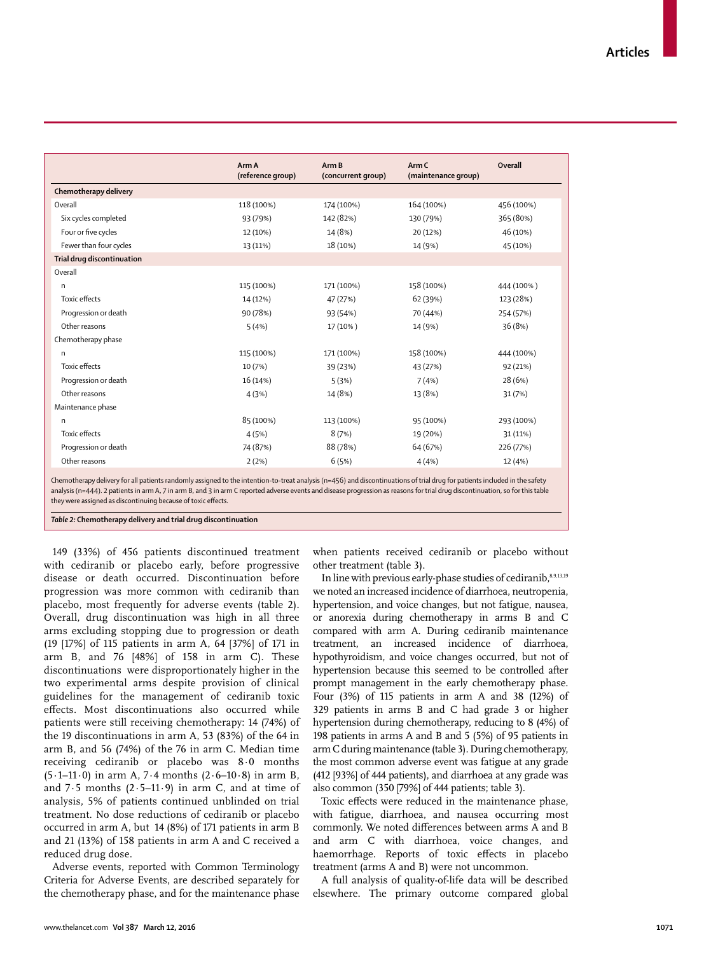|                            | Arm A<br>(reference group) | Arm B<br>(concurrent group) | Arm C<br>(maintenance group) | Overall    |
|----------------------------|----------------------------|-----------------------------|------------------------------|------------|
| Chemotherapy delivery      |                            |                             |                              |            |
| Overall                    | 118 (100%)                 | 174 (100%)                  | 164 (100%)                   | 456 (100%) |
| Six cycles completed       | 93 (79%)                   | 142 (82%)                   | 130 (79%)                    | 365 (80%)  |
| Four or five cycles        | 12 (10%)                   | 14 (8%)                     | 20 (12%)                     | 46 (10%)   |
| Fewer than four cycles     | 13 (11%)                   | 18 (10%)                    | 14 (9%)                      | 45 (10%)   |
| Trial drug discontinuation |                            |                             |                              |            |
| Overall                    |                            |                             |                              |            |
| n                          | 115 (100%)                 | 171 (100%)                  | 158 (100%)                   | 444 (100%) |
| Toxic effects              | 14 (12%)                   | 47 (27%)                    | 62 (39%)                     | 123 (28%)  |
| Progression or death       | 90 (78%)                   | 93 (54%)                    | 70 (44%)                     | 254 (57%)  |
| Other reasons              | 5(4%)                      | 17 (10%)                    | 14 (9%)                      | 36 (8%)    |
| Chemotherapy phase         |                            |                             |                              |            |
| n                          | 115 (100%)                 | 171 (100%)                  | 158 (100%)                   | 444 (100%) |
| Toxic effects              | 10(7%)                     | 39 (23%)                    | 43 (27%)                     | 92 (21%)   |
| Progression or death       | 16 (14%)                   | 5(3%)                       | 7(4%)                        | 28 (6%)    |
| Other reasons              | 4(3%)                      | 14 (8%)                     | 13 (8%)                      | 31 (7%)    |
| Maintenance phase          |                            |                             |                              |            |
| n                          | 85 (100%)                  | 113 (100%)                  | 95 (100%)                    | 293 (100%) |
| Toxic effects              | 4(5%)                      | 8(7%)                       | 19 (20%)                     | 31(11%)    |
| Progression or death       | 74 (87%)                   | 88 (78%)                    | 64 (67%)                     | 226 (77%)  |
| Other reasons              | 2(2%)                      | 6(5%)                       | 4(4%)                        | 12 (4%)    |
|                            |                            |                             |                              |            |

Chemotherapy delivery for all patients randomly assigned to the intention-to-treat analysis (n=456) and discontinuations of trial drug for patients included in the safety analysis (n=444). 2 patients in arm A, 7 in arm B, and 3 in arm C reported adverse events and disease progression as reasons for trial drug discontinuation, so for this table they were assigned as discontinuing because of toxic effects

*Table 2:* **Chemotherapy delivery and trial drug discontinuation**

149 (33%) of 456 patients discontinued treatment with cediranib or placebo early, before progressive disease or death occurred. Discontinuation before progression was more common with cediranib than placebo, most frequently for adverse events (table 2). Overall, drug discontinuation was high in all three arms excluding stopping due to progression or death (19 [17%] of 115 patients in arm A, 64 [37%] of 171 in arm B, and 76 [48%] of 158 in arm C). These discontinuations were disproportionately higher in the two experimental arms despite provision of clinical guidelines for the management of cediranib toxic effects. Most discontinuations also occurred while patients were still receiving chemotherapy: 14 (74%) of the 19 discontinuations in arm A, 53 (83%) of the 64 in arm B, and 56 (74%) of the 76 in arm C. Median time receiving cediranib or placebo was 8·0 months (5·1–11·0) in arm A, 7·4 months (2·6–10·8) in arm B, and  $7.5$  months  $(2.5-11.9)$  in arm C, and at time of analysis, 5% of patients continued unblinded on trial treatment. No dose reductions of cediranib or placebo occurred in arm A, but 14 (8%) of 171 patients in arm B and 21 (13%) of 158 patients in arm A and C received a reduced drug dose.

Adverse events, reported with Common Terminology Criteria for Adverse Events, are described separately for the chemotherapy phase, and for the maintenance phase when patients received cediranib or placebo without other treatment (table 3).

In line with previous early-phase studies of cediranib, 8,9,13,19 we noted an increased incidence of diarrhoea, neutropenia, hypertension, and voice changes, but not fatigue, nausea, or anorexia during chemotherapy in arms B and C compared with arm A. During cediranib maintenance treatment, an increased incidence of diarrhoea, hypothyroidism, and voice changes occurred, but not of hypertension because this seemed to be controlled after prompt management in the early chemotherapy phase. Four (3%) of 115 patients in arm A and 38 (12%) of 329 patients in arms B and C had grade 3 or higher hypertension during chemotherapy, reducing to 8 (4%) of 198 patients in arms A and B and 5 (5%) of 95 patients in arm C during maintenance (table 3). During chemotherapy, the most common adverse event was fatigue at any grade (412 [93%] of 444 patients), and diarrhoea at any grade was also common (350 [79%] of 444 patients; table 3).

Toxic effects were reduced in the maintenance phase, with fatigue, diarrhoea, and nausea occurring most commonly. We noted differences between arms A and B and arm C with diarrhoea, voice changes, and haemorrhage. Reports of toxic effects in placebo treatment (arms A and B) were not uncommon.

A full analysis of quality-of-life data will be described elsewhere. The primary outcome compared global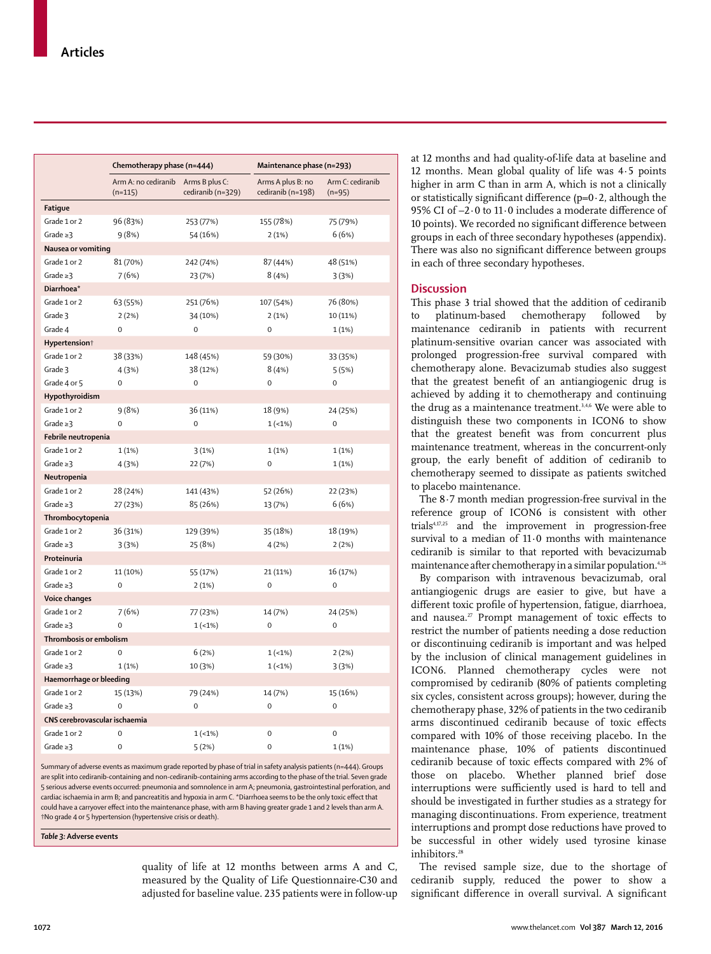|                               | Chemotherapy phase (n=444)       |                                     | Maintenance phase (n=293)              |                              |  |  |
|-------------------------------|----------------------------------|-------------------------------------|----------------------------------------|------------------------------|--|--|
|                               | Arm A: no cediranib<br>$(n=115)$ | Arms B plus C:<br>cediranib (n=329) | Arms A plus B: no<br>cediranib (n=198) | Arm C: cediranib<br>$(n=95)$ |  |  |
| <b>Fatigue</b>                |                                  |                                     |                                        |                              |  |  |
| Grade 1 or 2                  | 96 (83%)                         | 253 (77%)                           | 155 (78%)                              | 75 (79%)                     |  |  |
| Grade $\geq 3$                | 9(8%)                            | 54 (16%)                            | 2(1%)                                  | 6(6%)                        |  |  |
| Nausea or vomiting            |                                  |                                     |                                        |                              |  |  |
| Grade 1 or 2                  | 81 (70%)                         | 242 (74%)                           | 87 (44%)                               | 48 (51%)                     |  |  |
| Grade $\geq 3$                | 7(6%)                            | 23 (7%)                             | 8(4%)                                  | 3(3%)                        |  |  |
| Diarrhoea*                    |                                  |                                     |                                        |                              |  |  |
| Grade 1 or 2                  | 63 (55%)                         | 251 (76%)                           | 107 (54%)                              | 76 (80%)                     |  |  |
| Grade 3                       | 2(2%)                            | 34 (10%)                            | 2(1%)                                  | 10 (11%)                     |  |  |
| Grade 4                       | $\overline{0}$                   | $\mathbf 0$                         | $\mathbf 0$                            | 1(1%)                        |  |  |
| Hypertension <sup>+</sup>     |                                  |                                     |                                        |                              |  |  |
| Grade 1 or 2                  | 38 (33%)                         | 148 (45%)                           | 59 (30%)                               | 33 (35%)                     |  |  |
| Grade 3                       | 4(3%)                            | 38 (12%)                            | 8(4%)                                  | 5(5%)                        |  |  |
| Grade 4 or 5                  | 0                                | $\mathbf 0$                         | $\mathbf 0$                            | $\mathbf 0$                  |  |  |
| Hypothyroidism                |                                  |                                     |                                        |                              |  |  |
| Grade 1 or 2                  | 9(8%)                            | 36 (11%)                            | 18 (9%)                                | 24 (25%)                     |  |  |
| Grade $\geq$ 3                | $\mathbf 0$                      | $\mathbf 0$                         | 1(1%                                   | $\mathbf 0$                  |  |  |
| Febrile neutropenia           |                                  |                                     |                                        |                              |  |  |
| Grade 1 or 2                  | 1(1%)                            | 3(1%)                               | 1(1%)                                  | 1(1%)                        |  |  |
| Grade $\geq$ 3                | 4(3%)                            | 22 (7%)                             | $\mathbf 0$                            | 1(1%)                        |  |  |
| Neutropenia                   |                                  |                                     |                                        |                              |  |  |
| Grade 1 or 2                  | 28 (24%)                         | 141 (43%)                           | 52 (26%)                               | 22 (23%)                     |  |  |
| Grade $\geq$ 3                | 27 (23%)                         | 85 (26%)                            | 13 (7%)                                | 6(6%)                        |  |  |
| Thrombocytopenia              |                                  |                                     |                                        |                              |  |  |
| Grade 1 or 2                  | 36 (31%)                         | 129 (39%)                           | 35 (18%)                               | 18 (19%)                     |  |  |
| Grade $\geq$ 3                | 3(3%)                            | 25 (8%)                             | 4(2%)                                  | 2(2%)                        |  |  |
| Proteinuria                   |                                  |                                     |                                        |                              |  |  |
| Grade 1 or 2                  | 11 (10%)                         | 55 (17%)                            | 21 (11%)                               | 16 (17%)                     |  |  |
| Grade $\geq$ 3                | $\pmb{0}$                        | 2(1%)                               | $\mathbf 0$                            | $\mathbf 0$                  |  |  |
| Voice changes                 |                                  |                                     |                                        |                              |  |  |
| Grade 1 or 2                  | 7(6%)                            | 77 (23%)                            | 14 (7%)                                | 24 (25%)                     |  |  |
| Grade $\geq$ 3                | $\Omega$                         | $1(-1%)$                            | $\mathsf 0$                            | $\pmb{0}$                    |  |  |
| Thrombosis or embolism        |                                  |                                     |                                        |                              |  |  |
| Grade 1 or 2                  | 0                                | 6(2%)                               | $1(-1%)$                               | 2(2%)                        |  |  |
| Grade $\geq$ 3                | 1(1%)                            | 10 (3%)                             | $1(-1%)$                               | 3(3%)                        |  |  |
| Haemorrhage or bleeding       |                                  |                                     |                                        |                              |  |  |
| Grade 1 or 2                  | 15 (13%)                         | 79 (24%)                            | 14 (7%)                                | 15 (16%)                     |  |  |
| Grade $\geq$ 3                | $\Omega$                         | $\mathbf 0$                         | 0                                      | $\pmb{0}$                    |  |  |
| CNS cerebrovascular ischaemia |                                  |                                     |                                        |                              |  |  |
| Grade 1 or 2                  | $\Omega$                         | $1(-1%)$                            | $\mathbf 0$                            | 0                            |  |  |
| Grade $\geq$ 3                | 0                                | 5(2%)                               | $\mathbf 0$                            | 1(1%)                        |  |  |

Summary of adverse events as maximum grade reported by phase of trial in safety analysis patients (n=444). Groups are split into cediranib-containing and non-cediranib-containing arms according to the phase of the trial. Seven grade 5 serious adverse events occurred: pneumonia and somnolence in arm A; pneumonia, gastrointestinal perforation, and cardiac ischaemia in arm B; and pancreatitis and hypoxia in arm C. \*Diarrhoea seems to be the only toxic effect that could have a carryover effect into the maintenance phase, with arm B having greater grade 1 and 2 levels than arm A. †No grade 4 or 5 hypertension (hypertensive crisis or death).

*Table 3:* **Adverse events**

quality of life at 12 months between arms A and C, measured by the Quality of Life Questionnaire-C30 and adjusted for baseline value. 235 patients were in follow-up at 12 months and had quality-of-life data at baseline and 12 months. Mean global quality of life was 4·5 points higher in arm C than in arm A, which is not a clinically or statistically significant difference ( $p=0.2$ , although the 95% CI of  $-2.0$  to 11 $\cdot$ 0 includes a moderate difference of 10 points). We recorded no significant difference between groups in each of three secondary hypotheses (appendix). There was also no significant difference between groups in each of three secondary hypotheses.

# **Discussion**

This phase 3 trial showed that the addition of cediranib to platinum-based chemotherapy followed by maintenance cediranib in patients with recurrent platinum-sensitive ovarian cancer was associated with prolonged progression-free survival compared with chemotherapy alone. Bevacizumab studies also suggest that the greatest benefit of an antiangiogenic drug is achieved by adding it to chemotherapy and continuing the drug as a maintenance treatment.<sup>3,4,6</sup> We were able to distinguish these two components in ICON6 to show that the greatest benefit was from concurrent plus maintenance treatment, whereas in the concurrent-only group, the early benefit of addition of cediranib to chemotherapy seemed to dissipate as patients switched to placebo maintenance.

The 8·7 month median progression-free survival in the reference group of ICON6 is consistent with other trials4,17,25 and the improvement in progression-free survival to a median of 11·0 months with maintenance cediranib is similar to that reported with bevacizumab maintenance after chemotherapy in a similar population.<sup>4,26</sup>

By comparison with intravenous bevacizumab, oral antiangiogenic drugs are easier to give, but have a different toxic profile of hypertension, fatigue, diarrhoea, and nausea.<sup>27</sup> Prompt management of toxic effects to restrict the number of patients needing a dose reduction or discontinuing cediranib is important and was helped by the inclusion of clinical management guidelines in ICON6. Planned chemotherapy cycles were not compromised by cediranib (80% of patients completing six cycles, consistent across groups); however, during the chemotherapy phase, 32% of patients in the two cediranib arms discontinued cediranib because of toxic effects compared with 10% of those receiving placebo. In the maintenance phase, 10% of patients discontinued cediranib because of toxic effects compared with 2% of those on placebo. Whether planned brief dose interruptions were sufficiently used is hard to tell and should be investigated in further studies as a strategy for managing discontinuations. From experience, treatment interruptions and prompt dose reductions have proved to be successful in other widely used tyrosine kinase inhibitors.<sup>28</sup>

The revised sample size, due to the shortage of cediranib supply, reduced the power to show a significant difference in overall survival. A significant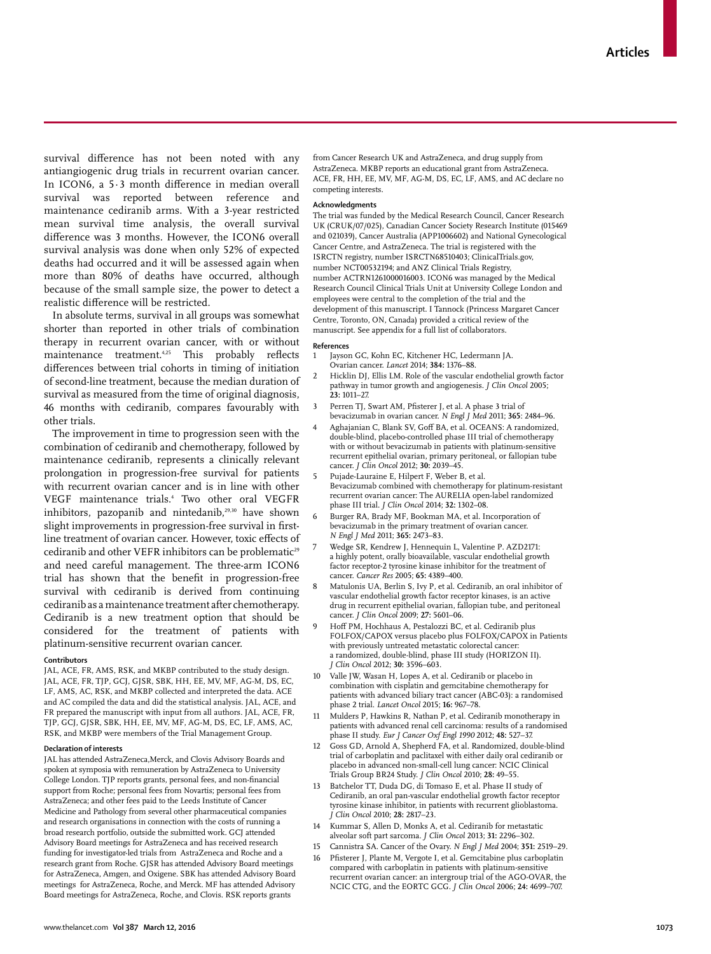survival difference has not been noted with any antiangiogenic drug trials in recurrent ovarian cancer. In ICON6, a  $5·3$  month difference in median overall survival was reported between reference and maintenance cediranib arms. With a 3-year restricted mean survival time analysis, the overall survival difference was 3 months. However, the ICON6 overall survival analysis was done when only 52% of expected deaths had occurred and it will be assessed again when more than 80% of deaths have occurred, although because of the small sample size, the power to detect a realistic difference will be restricted.

In absolute terms, survival in all groups was somewhat shorter than reported in other trials of combination therapy in recurrent ovarian cancer, with or without maintenance treatment.<sup>4,25</sup> This probably reflects differences between trial cohorts in timing of initiation of second-line treatment, because the median duration of survival as measured from the time of original diagnosis, 46 months with cediranib, compares favourably with other trials.

The improvement in time to progression seen with the combination of cediranib and chemotherapy, followed by maintenance cediranib, represents a clinically relevant prolongation in progression-free survival for patients with recurrent ovarian cancer and is in line with other VEGF maintenance trials.4 Two other oral VEGFR inhibitors, pazopanib and nintedanib,<sup>29,30</sup> have shown slight improvements in progression-free survival in firstline treatment of ovarian cancer. However, toxic effects of cediranib and other VEFR inhibitors can be problematic<sup>29</sup> and need careful management. The three-arm ICON6 trial has shown that the benefit in progression-free survival with cediranib is derived from continuing cediranib as a maintenance treatment after chemotherapy. Cediranib is a new treatment option that should be considered for the treatment of patients with platinum-sensitive recurrent ovarian cancer.

#### **Contributors**

JAL, ACE, FR, AMS, RSK, and MKBP contributed to the study design. JAL, ACE, FR, TJP, GCJ, GJSR, SBK, HH, EE, MV, MF, AG-M, DS, EC, LF, AMS, AC, RSK, and MKBP collected and interpreted the data. ACE and AC compiled the data and did the statistical analysis. JAL, ACE, and FR prepared the manuscript with input from all authors. JAL, ACE, FR, TJP, GCJ, GJSR, SBK, HH, EE, MV, MF, AG-M, DS, EC, LF, AMS, AC, RSK, and MKBP were members of the Trial Management Group.

#### **Declaration of interests**

JAL has attended AstraZeneca,Merck, and Clovis Advisory Boards and spoken at symposia with remuneration by AstraZeneca to University College London. TJP reports grants, personal fees, and non-financial support from Roche; personal fees from Novartis; personal fees from AstraZeneca; and other fees paid to the Leeds Institute of Cancer Medicine and Pathology from several other pharmaceutical companies and research organisations in connection with the costs of running a broad research portfolio, outside the submitted work. GCJ attended Advisory Board meetings for AstraZeneca and has received research funding for investigator-led trials from AstraZeneca and Roche and a research grant from Roche. GJSR has attended Advisory Board meetings for AstraZeneca, Amgen, and Oxigene. SBK has attended Advisory Board meetings for AstraZeneca, Roche, and Merck. MF has attended Advisory Board meetings for AstraZeneca, Roche, and Clovis. RSK reports grants

from Cancer Research UK and AstraZeneca, and drug supply from AstraZeneca. MKBP reports an educational grant from AstraZeneca. ACE, FR, HH, EE, MV, MF, AG-M, DS, EC, LF, AMS, and AC declare no competing interests.

## **Acknowledgments**

The trial was funded by the Medical Research Council, Cancer Research UK (CRUK/07/025), Canadian Cancer Society Research Institute (015469 and 021039), Cancer Australia (APP1006602) and National Gynecological Cancer Centre, and AstraZeneca. The trial is registered with the ISRCTN registry, number ISRCTN68510403; ClinicalTrials.gov, number NCT00532194; and ANZ Clinical Trials Registry, number ACTRN1261000016003. ICON6 was managed by the Medical Research Council Clinical Trials Unit at University College London and employees were central to the completion of the trial and the development of this manuscript. I Tannock (Princess Margaret Cancer Centre, Toronto, ON, Canada) provided a critical review of the manuscript. See appendix for a full list of collaborators.

#### **References**

- Jayson GC, Kohn EC, Kitchener HC, Ledermann JA. Ovarian cancer. *Lancet* 2014; **384:** 1376–88.
- 2 Hicklin DJ, Ellis LM, Role of the vascular endothelial growth factor pathway in tumor growth and angiogenesis. *J Clin Oncol* 2005; **23:** 1011–27.
- Perren TJ, Swart AM, Pfisterer J, et al. A phase 3 trial of bevacizumab in ovarian cancer. *N Engl J Med* 2011; **365**: 2484–96.
- 4 Aghajanian C, Blank SV, Goff BA, et al. OCEANS: A randomized, double-blind, placebo-controlled phase III trial of chemotherapy with or without bevacizumab in patients with platinum-sensitive recurrent epithelial ovarian, primary peritoneal, or fallopian tube cancer. *J Clin Oncol* 2012; **30:** 2039–45.
- 5 Pujade-Lauraine E, Hilpert F, Weber B, et al. Bevacizumab combined with chemotherapy for platinum-resistant recurrent ovarian cancer: The AURELIA open-label randomized phase III trial. *J Clin Oncol* 2014; **32:** 1302–08.
- 6 Burger RA, Brady MF, Bookman MA, et al. Incorporation of bevacizumab in the primary treatment of ovarian cancer. *N Engl J Med* 2011; **365:** 2473–83.
- Wedge SR, Kendrew J, Hennequin L, Valentine P. AZD2171: a highly potent, orally bioavailable, vascular endothelial growth factor receptor-2 tyrosine kinase inhibitor for the treatment of cancer. *Cancer Res* 2005; **65:** 4389–400.
- 8 Matulonis UA, Berlin S, Ivy P, et al. Cediranib, an oral inhibitor of vascular endothelial growth factor receptor kinases, is an active drug in recurrent epithelial ovarian, fallopian tube, and peritoneal cancer. *J Clin Oncol* 2009; **27:** 5601–06.
- 9 Hoff PM, Hochhaus A, Pestalozzi BC, et al. Cediranib plus FOLFOX/CAPOX versus placebo plus FOLFOX/CAPOX in Patients with previously untreated metastatic colorectal cancer: a randomized, double-blind, phase III study (HORIZON II). *J Clin Oncol* 2012; **30:** 3596–603.
- 10 Valle JW, Wasan H, Lopes A, et al. Cediranib or placebo in combination with cisplatin and gemcitabine chemotherapy for patients with advanced biliary tract cancer (ABC-03): a randomised phase 2 trial. *Lancet Oncol* 2015; **16:** 967–78.
- Mulders P, Hawkins R, Nathan P, et al. Cediranib monotherapy in patients with advanced renal cell carcinoma: results of a randomised phase II study. *Eur J Cancer Oxf Engl 1990* 2012; **48:** 527–37.
- 12 Goss GD, Arnold A, Shepherd FA, et al. Randomized, double-blind trial of carboplatin and paclitaxel with either daily oral cediranib or placebo in advanced non-small-cell lung cancer: NCIC Clinical Trials Group BR24 Study. *J Clin Oncol* 2010; **28:** 49–55.
- 13 Batchelor TT, Duda DG, di Tomaso E, et al*.* Phase II study of Cediranib, an oral pan-vascular endothelial growth factor receptor tyrosine kinase inhibitor, in patients with recurrent glioblastoma. *J Clin Oncol* 2010; **28:** 2817–23.
- Kummar S, Allen D, Monks A, et al. Cediranib for metastatic alveolar soft part sarcoma. *J Clin Oncol* 2013; **31:** 2296–302.
- 15 Cannistra SA. Cancer of the Ovary. *N Engl J Med* 2004; **351:** 2519–29.
- 16 Pfisterer J, Plante M, Vergote I, et al. Gemcitabine plus carboplatin compared with carboplatin in patients with platinum-sensitive recurrent ovarian cancer: an intergroup trial of the AGO-OVAR, the NCIC CTG, and the EORTC GCG. *J Clin Oncol* 2006; **24:** 4699–707.